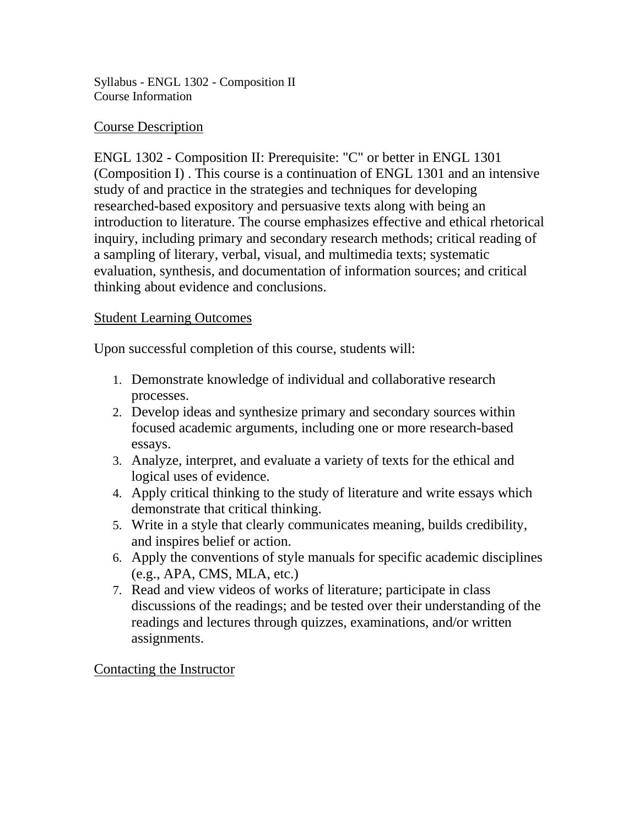Syllabus - ENGL 1302 - Composition II Course Information

#### Course Description

ENGL 1302 - Composition II: Prerequisite: "C" or better in ENGL 1301 (Composition I) . This course is a continuation of ENGL 1301 and an intensive study of and practice in the strategies and techniques for developing researched-based expository and persuasive texts along with being an introduction to literature. The course emphasizes effective and ethical rhetorical inquiry, including primary and secondary research methods; critical reading of a sampling of literary, verbal, visual, and multimedia texts; systematic evaluation, synthesis, and documentation of information sources; and critical thinking about evidence and conclusions.

## Student Learning Outcomes

Upon successful completion of this course, students will:

- 1. Demonstrate knowledge of individual and collaborative research processes.
- 2. Develop ideas and synthesize primary and secondary sources within focused academic arguments, including one or more research-based essays.
- 3. Analyze, interpret, and evaluate a variety of texts for the ethical and logical uses of evidence.
- 4. Apply critical thinking to the study of literature and write essays which demonstrate that critical thinking.
- 5. Write in a style that clearly communicates meaning, builds credibility, and inspires belief or action.
- 6. Apply the conventions of style manuals for specific academic disciplines (e.g., APA, CMS, MLA, etc.)
- 7. Read and view videos of works of literature; participate in class discussions of the readings; and be tested over their understanding of the readings and lectures through quizzes, examinations, and/or written assignments.

#### Contacting the Instructor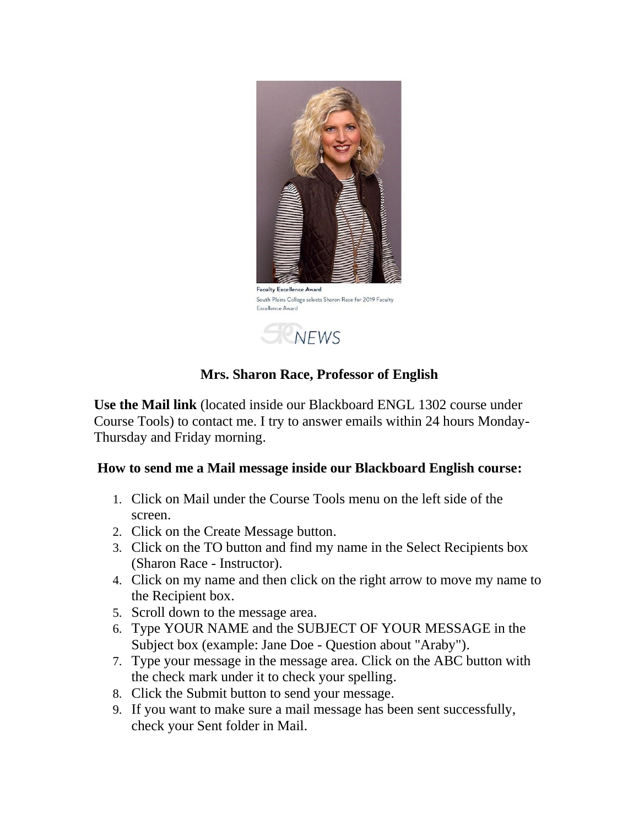

# **Mrs. Sharon Race, Professor of English**

**Use the Mail link** (located inside our Blackboard ENGL 1302 course under Course Tools) to contact me. I try to answer emails within 24 hours Monday-Thursday and Friday morning.

#### **How to send me a Mail message inside our Blackboard English course:**

- 1. Click on Mail under the Course Tools menu on the left side of the screen.
- 2. Click on the Create Message button.
- 3. Click on the TO button and find my name in the Select Recipients box (Sharon Race - Instructor).
- 4. Click on my name and then click on the right arrow to move my name to the Recipient box.
- 5. Scroll down to the message area.
- 6. Type YOUR NAME and the SUBJECT OF YOUR MESSAGE in the Subject box (example: Jane Doe - Question about "Araby").
- 7. Type your message in the message area. Click on the ABC button with the check mark under it to check your spelling.
- 8. Click the Submit button to send your message.
- 9. If you want to make sure a mail message has been sent successfully, check your Sent folder in Mail.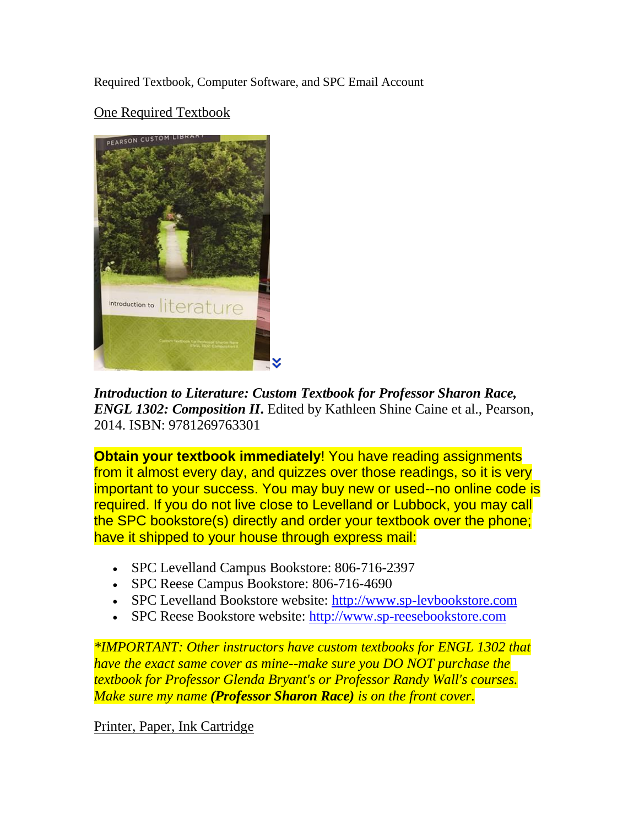Required Textbook, Computer Software, and SPC Email Account

One Required Textbook



*Introduction to Literature: Custom Textbook for Professor Sharon Race, ENGL 1302: Composition II***.** Edited by Kathleen Shine Caine et al., Pearson, 2014. ISBN: 9781269763301

**Obtain your textbook immediately!** You have reading assignments from it almost every day, and quizzes over those readings, so it is very important to your success. You may buy new or used--no online code is required. If you do not live close to Levelland or Lubbock, you may call the SPC bookstore(s) directly and order your textbook over the phone; have it shipped to your house through express mail:

- SPC Levelland Campus Bookstore: 806-716-2397
- SPC Reese Campus Bookstore: 806-716-4690
- SPC Levelland Bookstore website: [http://www.sp-levbookstore.com](http://www.sp-levbookstore.com/home.aspx)
- SPC Reese Bookstore website: [http://www.sp-reesebookstore.com](http://www.sp-reesebookstore.com/home.aspx)

*\*IMPORTANT: Other instructors have custom textbooks for ENGL 1302 that have the exact same cover as mine--make sure you DO NOT purchase the textbook for Professor Glenda Bryant's or Professor Randy Wall's courses. Make sure my name (Professor Sharon Race) is on the front cover.*

Printer, Paper, Ink Cartridge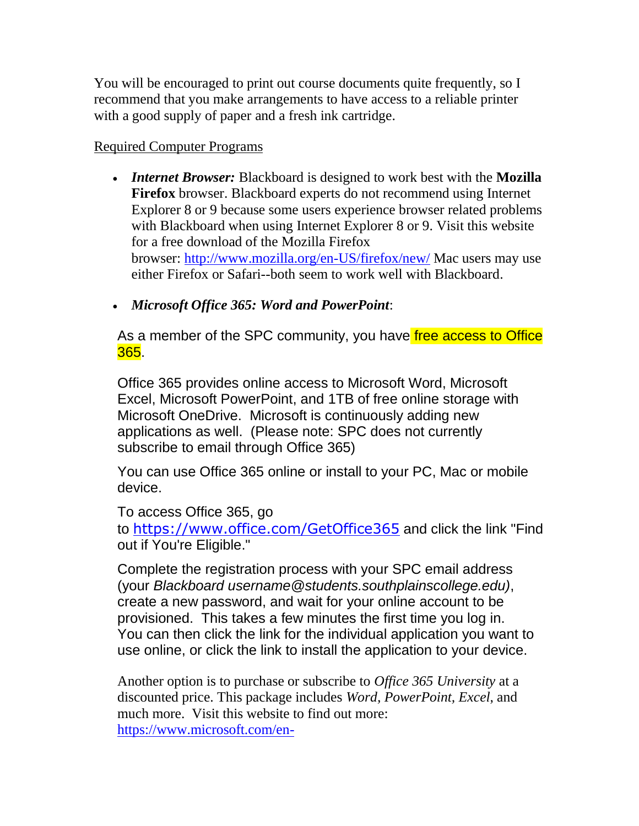You will be encouraged to print out course documents quite frequently, so I recommend that you make arrangements to have access to a reliable printer with a good supply of paper and a fresh ink cartridge.

#### Required Computer Programs

 *Internet Browser:* Blackboard is designed to work best with the **Mozilla Firefox** browser. Blackboard experts do not recommend using Internet Explorer 8 or 9 because some users experience browser related problems with Blackboard when using Internet Explorer 8 or 9. Visit this website for a free download of the Mozilla Firefox browser: <http://www.mozilla.org/en-US/firefox/new/> Mac users may use either Firefox or Safari--both seem to work well with Blackboard.

*Microsoft Office 365: Word and PowerPoint*:

As a member of the SPC community, you have free access to Office 365.

Office 365 provides online access to Microsoft Word, Microsoft Excel, Microsoft PowerPoint, and 1TB of free online storage with Microsoft OneDrive. Microsoft is continuously adding new applications as well. (Please note: SPC does not currently subscribe to email through Office 365)

You can use Office 365 online or install to your PC, Mac or mobile device.

To access Office 365, go

to <https://www.office.com/GetOffice365> and click the link "Find out if You're Eligible."

Complete the registration process with your SPC email address (your *Blackboard username@students.southplainscollege.edu)*, create a new password, and wait for your online account to be provisioned. This takes a few minutes the first time you log in. You can then click the link for the individual application you want to use online, or click the link to install the application to your device.

Another option is to purchase or subscribe to *Office 365 University* at a discounted price. This package includes *Word, PowerPoint, Excel*, and much more. Visit this website to find out more: [https://www.microsoft.com/en-](https://www.microsoft.com/en-us/store/d/product/CFQ7TTC0K5BB?icid=StudentsAndEducators_cat_NavContent_O365University)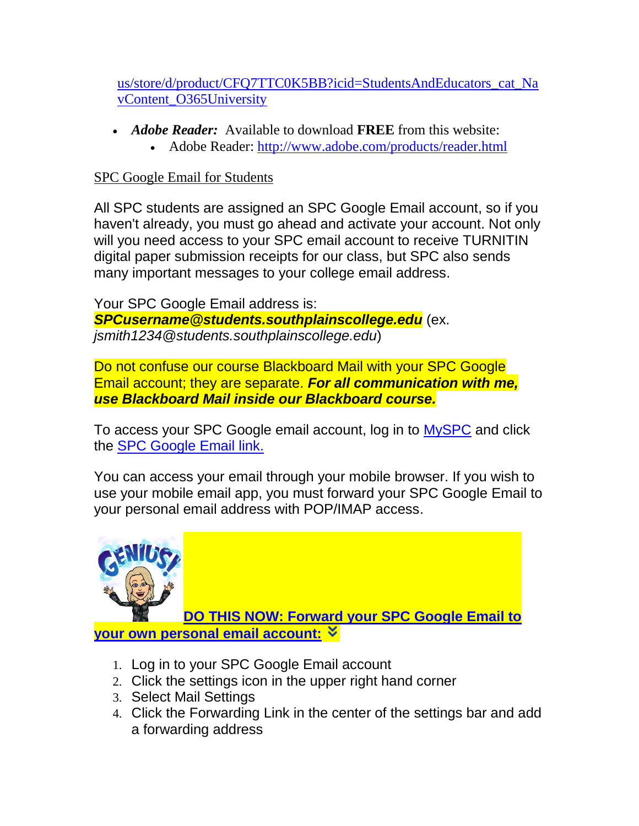[us/store/d/product/CFQ7TTC0K5BB?icid=StudentsAndEducators\\_cat\\_Na](https://www.microsoft.com/en-us/store/d/product/CFQ7TTC0K5BB?icid=StudentsAndEducators_cat_NavContent_O365University) [vContent\\_O365University](https://www.microsoft.com/en-us/store/d/product/CFQ7TTC0K5BB?icid=StudentsAndEducators_cat_NavContent_O365University)

- *Adobe Reader:* Available to download **FREE** from this website:
	- Adobe Reader:<http://www.adobe.com/products/reader.html>

# SPC Google Email for Students

All SPC students are assigned an SPC Google Email account, so if you haven't already, you must go ahead and activate your account. Not only will you need access to your SPC email account to receive TURNITIN digital paper submission receipts for our class, but SPC also sends many important messages to your college email address.

Your SPC Google Email address is: *SPCusername@students.southplainscollege.edu* (ex. *jsmith1234@students.southplainscollege.edu*)

Do not confuse our course Blackboard Mail with your SPC Google Email account; they are separate. *For all communication with me, use Blackboard Mail inside our Blackboard course.*

To access your SPC Google email account, log in to [MySPC](https://myspc.southplainscollege.edu/) and click the [SPC Google Email link.](http://mail.students.southplainscollege.edu/)

You can access your email through your mobile browser. If you wish to use your mobile email app, you must forward your SPC Google Email to your personal email address with POP/IMAP access.



**[DO THIS NOW: Forward your SPC Google Email to](https://myspc.southplainscollege.edu/ICS/)  [your own personal email account:](https://myspc.southplainscollege.edu/ICS/)**

- 1. Log in to your SPC Google Email account
- 2. Click the settings icon in the upper right hand corner
- 3. Select Mail Settings
- 4. Click the Forwarding Link in the center of the settings bar and add a forwarding address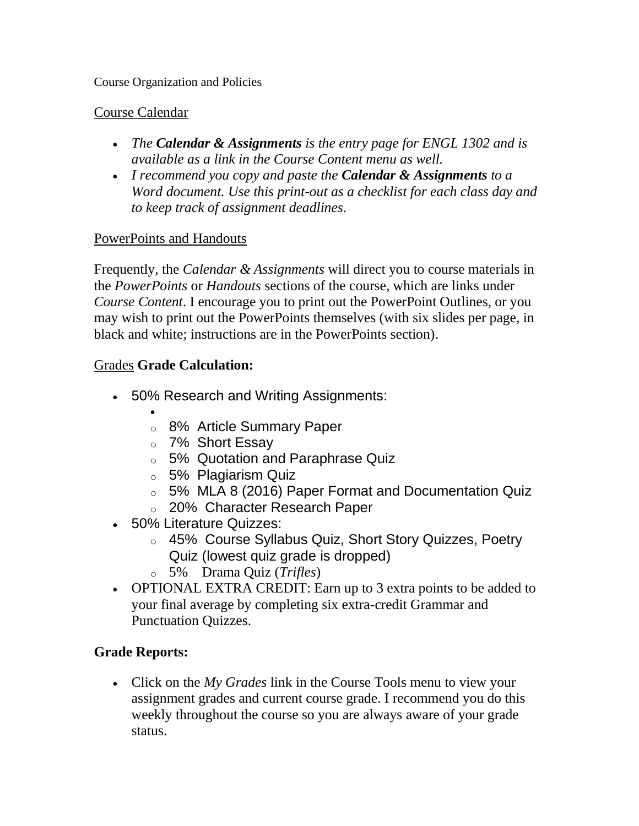Course Organization and Policies

## Course Calendar

- *The Calendar & Assignments is the entry page for ENGL 1302 and is available as a link in the Course Content menu as well.*
- *I recommend you copy and paste the Calendar & Assignments to a Word document. Use this print-out as a checklist for each class day and to keep track of assignment deadlines.*

## PowerPoints and Handouts

Frequently, the *Calendar & Assignments* will direct you to course materials in the *PowerPoints* or *Handouts* sections of the course, which are links under *Course Content*. I encourage you to print out the PowerPoint Outlines, or you may wish to print out the PowerPoints themselves (with six slides per page, in black and white; instructions are in the PowerPoints section).

## Grades **Grade Calculation:**

- 50% Research and Writing Assignments:
	- $\bullet$
	- o 8% Article Summary Paper
	- o 7% Short Essay
	- o 5% Quotation and Paraphrase Quiz
	- o 5% Plagiarism Quiz
	- o 5% MLA 8 (2016) Paper Format and Documentation Quiz
	- o 20% Character Research Paper
- 50% Literature Quizzes:
	- o 45% Course Syllabus Quiz, Short Story Quizzes, Poetry Quiz (lowest quiz grade is dropped)
	- o 5% Drama Quiz (*Trifles*)
- OPTIONAL EXTRA CREDIT: Earn up to 3 extra points to be added to your final average by completing six extra-credit Grammar and Punctuation Quizzes.

# **Grade Reports:**

 Click on the *My Grades* link in the Course Tools menu to view your assignment grades and current course grade. I recommend you do this weekly throughout the course so you are always aware of your grade status.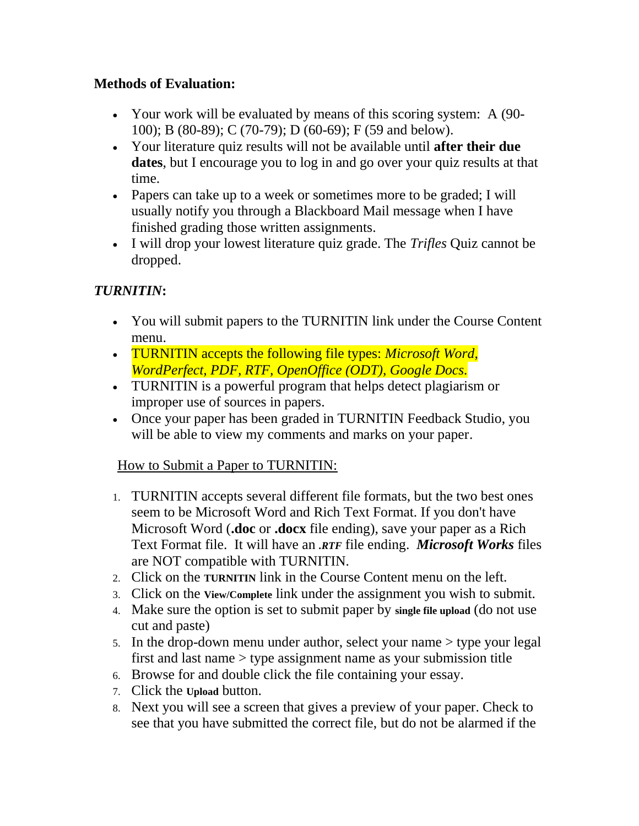## **Methods of Evaluation:**

- Your work will be evaluated by means of this scoring system: A (90- 100); B (80-89); C (70-79); D (60-69); F (59 and below).
- Your literature quiz results will not be available until **after their due dates**, but I encourage you to log in and go over your quiz results at that time.
- Papers can take up to a week or sometimes more to be graded; I will usually notify you through a Blackboard Mail message when I have finished grading those written assignments.
- I will drop your lowest literature quiz grade. The *Trifles* Quiz cannot be dropped.

# *TURNITIN***:**

- You will submit papers to the TURNITIN link under the Course Content menu.
- TURNITIN accepts the following file types: *Microsoft Word, WordPerfect, PDF, RTF, OpenOffice (ODT), Google Docs.*
- TURNITIN is a powerful program that helps detect plagiarism or improper use of sources in papers.
- Once your paper has been graded in TURNITIN Feedback Studio, you will be able to view my comments and marks on your paper.

## How to Submit a Paper to TURNITIN:

- 1. TURNITIN accepts several different file formats, but the two best ones seem to be Microsoft Word and Rich Text Format. If you don't have Microsoft Word (**.doc** or **.docx** file ending), save your paper as a Rich Text Format file. It will have an *.RTF* file ending. *Microsoft Works* files are NOT compatible with TURNITIN.
- 2. Click on the **TURNITIN** link in the Course Content menu on the left.
- 3. Click on the **View/Complete** link under the assignment you wish to submit.
- 4. Make sure the option is set to submit paper by **single file upload** (do not use cut and paste)
- 5. In the drop-down menu under author, select your name > type your legal first and last name > type assignment name as your submission title
- 6. Browse for and double click the file containing your essay.
- 7. Click the **Upload** button.
- 8. Next you will see a screen that gives a preview of your paper. Check to see that you have submitted the correct file, but do not be alarmed if the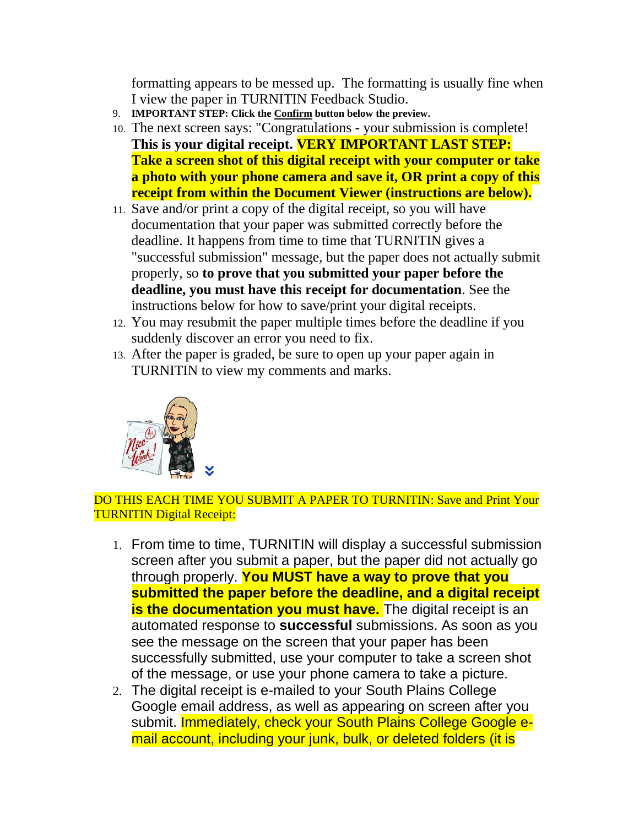formatting appears to be messed up. The formatting is usually fine when I view the paper in TURNITIN Feedback Studio.

- 9. **IMPORTANT STEP: Click the Confirm button below the preview.**
- 10. The next screen says: "Congratulations your submission is complete! **This is your digital receipt. VERY IMPORTANT LAST STEP: Take a screen shot of this digital receipt with your computer or take a photo with your phone camera and save it, OR print a copy of this receipt from within the Document Viewer (instructions are below).**
- 11. Save and/or print a copy of the digital receipt, so you will have documentation that your paper was submitted correctly before the deadline. It happens from time to time that TURNITIN gives a "successful submission" message, but the paper does not actually submit properly, so **to prove that you submitted your paper before the deadline, you must have this receipt for documentation**. See the instructions below for how to save/print your digital receipts.
- 12. You may resubmit the paper multiple times before the deadline if you suddenly discover an error you need to fix.
- 13. After the paper is graded, be sure to open up your paper again in TURNITIN to view my comments and marks.



#### DO THIS EACH TIME YOU SUBMIT A PAPER TO TURNITIN: Save and Print Your TURNITIN Digital Receipt:

- 1. From time to time, TURNITIN will display a successful submission screen after you submit a paper, but the paper did not actually go through properly. **You MUST have a way to prove that you submitted the paper before the deadline, and a digital receipt is the documentation you must have.** The digital receipt is an automated response to **successful** submissions. As soon as you see the message on the screen that your paper has been successfully submitted, use your computer to take a screen shot of the message, or use your phone camera to take a picture.
- 2. The digital receipt is e-mailed to your South Plains College Google email address, as well as appearing on screen after you submit. Immediately, check your South Plains College Google email account, including your junk, bulk, or deleted folders (it is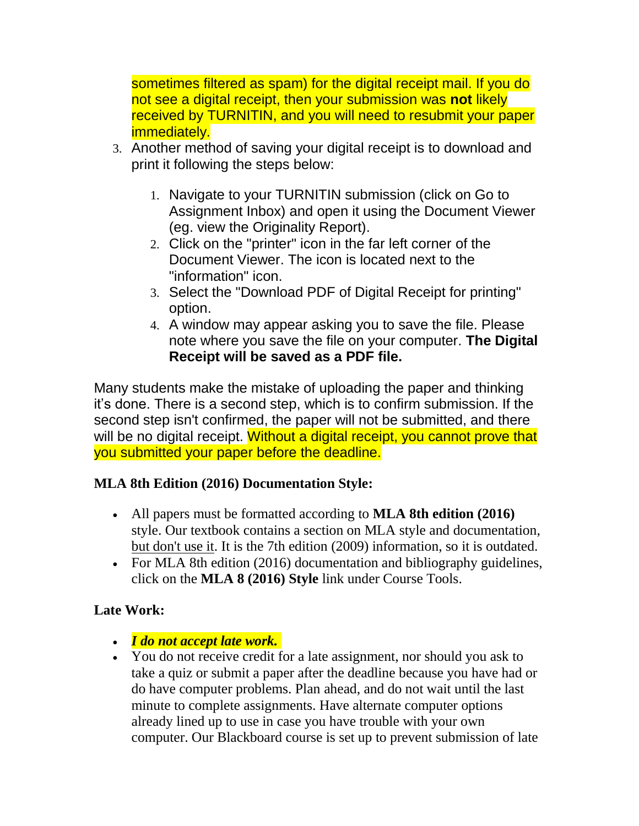sometimes filtered as spam) for the digital receipt mail. If you do not see a digital receipt, then your submission was **not** likely received by TURNITIN, and you will need to resubmit your paper immediately.

- 3. Another method of saving your digital receipt is to download and print it following the steps below:
	- 1. Navigate to your TURNITIN submission (click on Go to Assignment Inbox) and open it using the Document Viewer (eg. view the Originality Report).
	- 2. Click on the "printer" icon in the far left corner of the Document Viewer. The icon is located next to the "information" icon.
	- 3. Select the "Download PDF of Digital Receipt for printing" option.
	- 4. A window may appear asking you to save the file. Please note where you save the file on your computer. **The Digital Receipt will be saved as a PDF file.**

Many students make the mistake of uploading the paper and thinking it's done. There is a second step, which is to confirm submission. If the second step isn't confirmed, the paper will not be submitted, and there will be no digital receipt. Without a digital receipt, you cannot prove that you submitted your paper before the deadline.

# **MLA 8th Edition (2016) Documentation Style:**

- All papers must be formatted according to **MLA 8th edition (2016)** style. Our textbook contains a section on MLA style and documentation, but don't use it. It is the 7th edition (2009) information, so it is outdated.
- For MLA 8th edition (2016) documentation and bibliography guidelines, click on the **MLA 8 (2016) Style** link under Course Tools.

# **Late Work:**

- *I do not accept late work.*
- You do not receive credit for a late assignment, nor should you ask to take a quiz or submit a paper after the deadline because you have had or do have computer problems. Plan ahead, and do not wait until the last minute to complete assignments. Have alternate computer options already lined up to use in case you have trouble with your own computer. Our Blackboard course is set up to prevent submission of late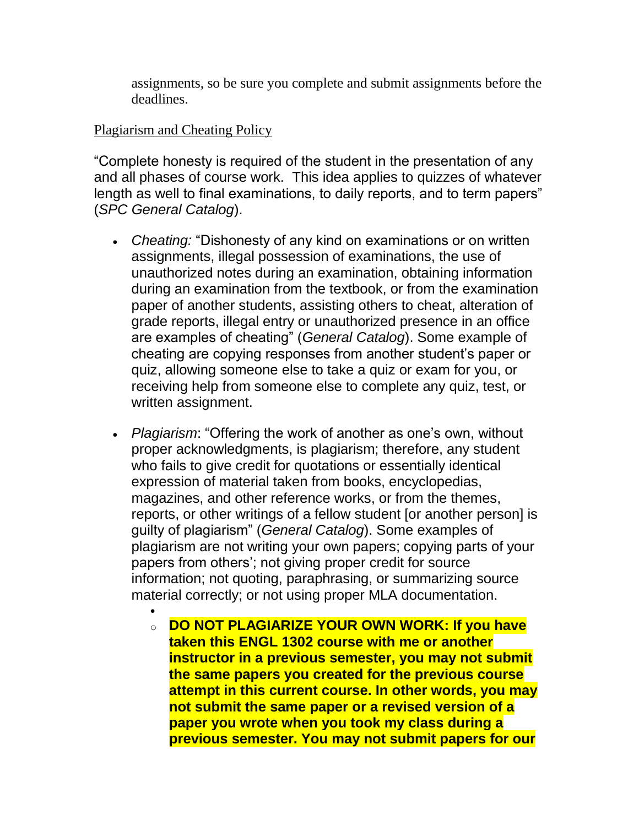assignments, so be sure you complete and submit assignments before the deadlines.

#### Plagiarism and Cheating Policy

 $\bullet$ 

"Complete honesty is required of the student in the presentation of any and all phases of course work. This idea applies to quizzes of whatever length as well to final examinations, to daily reports, and to term papers" (*SPC General Catalog*).

- *Cheating:* "Dishonesty of any kind on examinations or on written assignments, illegal possession of examinations, the use of unauthorized notes during an examination, obtaining information during an examination from the textbook, or from the examination paper of another students, assisting others to cheat, alteration of grade reports, illegal entry or unauthorized presence in an office are examples of cheating" (*General Catalog*). Some example of cheating are copying responses from another student's paper or quiz, allowing someone else to take a quiz or exam for you, or receiving help from someone else to complete any quiz, test, or written assignment.
- *Plagiarism*: "Offering the work of another as one's own, without proper acknowledgments, is plagiarism; therefore, any student who fails to give credit for quotations or essentially identical expression of material taken from books, encyclopedias, magazines, and other reference works, or from the themes, reports, or other writings of a fellow student [or another person] is guilty of plagiarism" (*General Catalog*). Some examples of plagiarism are not writing your own papers; copying parts of your papers from others'; not giving proper credit for source information; not quoting, paraphrasing, or summarizing source material correctly; or not using proper MLA documentation.
	- o **DO NOT PLAGIARIZE YOUR OWN WORK: If you have taken this ENGL 1302 course with me or another instructor in a previous semester, you may not submit the same papers you created for the previous course attempt in this current course. In other words, you may not submit the same paper or a revised version of a paper you wrote when you took my class during a previous semester. You may not submit papers for our**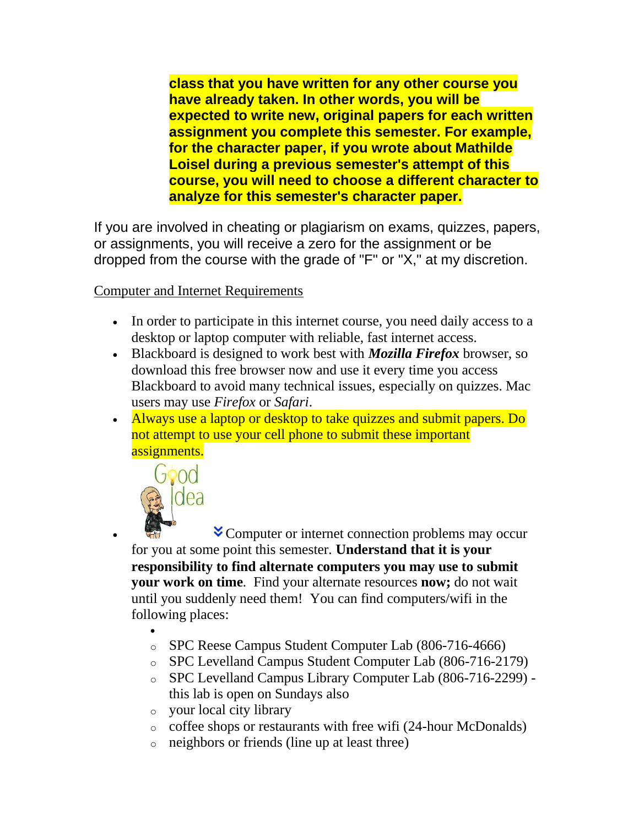**class that you have written for any other course you have already taken. In other words, you will be expected to write new, original papers for each written assignment you complete this semester. For example, for the character paper, if you wrote about Mathilde Loisel during a previous semester's attempt of this course, you will need to choose a different character to analyze for this semester's character paper.**

If you are involved in cheating or plagiarism on exams, quizzes, papers, or assignments, you will receive a zero for the assignment or be dropped from the course with the grade of "F" or "X," at my discretion.

Computer and Internet Requirements

- In order to participate in this internet course, you need daily access to a desktop or laptop computer with reliable, fast internet access.
- Blackboard is designed to work best with *Mozilla Firefox* browser, so download this free browser now and use it every time you access Blackboard to avoid many technical issues, especially on quizzes. Mac users may use *Firefox* or *Safari*.
- Always use a laptop or desktop to take quizzes and submit papers. Do not attempt to use your cell phone to submit these important assignments.



 $\bullet$  Computer or internet connection problems may occur for you at some point this semester. **Understand that it is your responsibility to find alternate computers you may use to submit your work on time***.* Find your alternate resources **now;** do not wait until you suddenly need them! You can find computers/wifi in the following places:

- $\bullet$ o SPC Reese Campus Student Computer Lab (806-716-4666)
- o SPC Levelland Campus Student Computer Lab (806-716-2179)
- o SPC Levelland Campus Library Computer Lab (806-716-2299) this lab is open on Sundays also
- o your local city library
- o coffee shops or restaurants with free wifi (24-hour McDonalds)
- o neighbors or friends (line up at least three)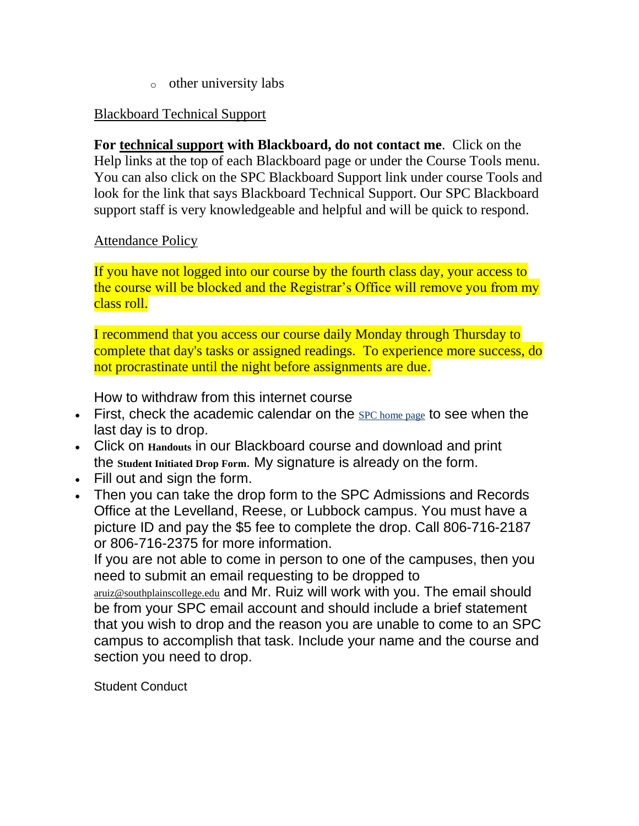o other university labs

#### Blackboard Technical Support

**For technical support with Blackboard, do not contact me**. Click on the Help links at the top of each Blackboard page or under the Course Tools menu. You can also click on the SPC Blackboard Support link under course Tools and look for the link that says Blackboard Technical Support. Our SPC Blackboard support staff is very knowledgeable and helpful and will be quick to respond.

#### Attendance Policy

If you have not logged into our course by the fourth class day, your access to the course will be blocked and the Registrar's Office will remove you from my class roll.

I recommend that you access our course daily Monday through Thursday to complete that day's tasks or assigned readings. To experience more success, do not procrastinate until the night before assignments are due.

How to withdraw from this internet course

- First, check the academic calendar on the  $SPC$  [home](http://www.southplainscollege.edu/) page to see when the last day is to drop.
- Click on **Handouts** in our Blackboard course and download and print the **Student Initiated Drop Form**. My signature is already on the form.
- Fill out and sign the form.
- Then you can take the drop form to the SPC Admissions and Records Office at the Levelland, Reese, or Lubbock campus. You must have a picture ID and pay the \$5 fee to complete the drop. Call 806-716-2187 or 806-716-2375 for more information.

If you are not able to come in person to one of the campuses, then you need to submit an email requesting to be dropped to

[aruiz@southplainscollege.edu](mailto:aruiz@southplianscollege.edu) and Mr. Ruiz will work with you. The email should be from your SPC email account and should include a brief statement that you wish to drop and the reason you are unable to come to an SPC campus to accomplish that task. Include your name and the course and section you need to drop.

Student Conduct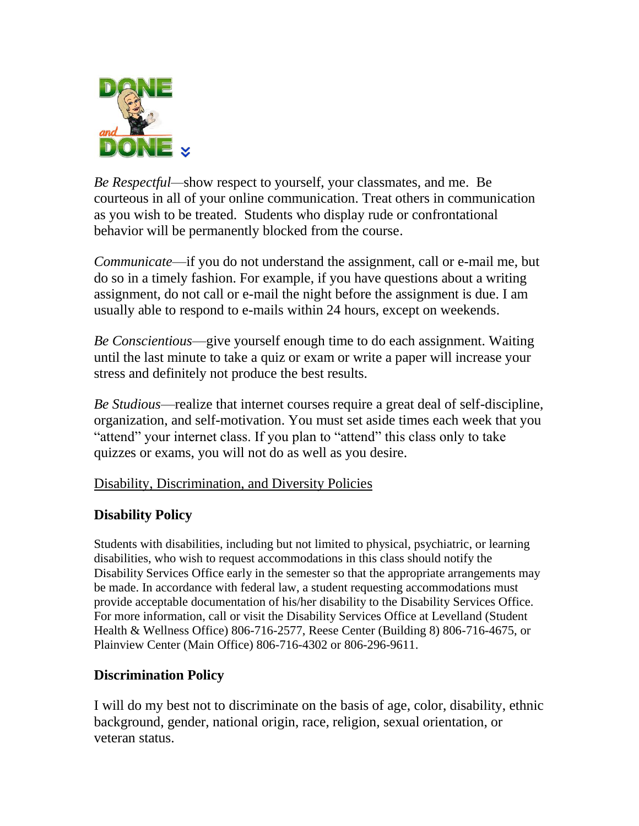

*Be Respectful—*show respect to yourself, your classmates, and me. Be courteous in all of your online communication. Treat others in communication as you wish to be treated. Students who display rude or confrontational behavior will be permanently blocked from the course.

*Communicate*—if you do not understand the assignment, call or e-mail me, but do so in a timely fashion. For example, if you have questions about a writing assignment, do not call or e-mail the night before the assignment is due. I am usually able to respond to e-mails within 24 hours, except on weekends.

*Be Conscientious*—give yourself enough time to do each assignment. Waiting until the last minute to take a quiz or exam or write a paper will increase your stress and definitely not produce the best results.

*Be Studious*—realize that internet courses require a great deal of self-discipline, organization, and self-motivation. You must set aside times each week that you "attend" your internet class. If you plan to "attend" this class only to take quizzes or exams, you will not do as well as you desire.

## Disability, Discrimination, and Diversity Policies

## **Disability Policy**

Students with disabilities, including but not limited to physical, psychiatric, or learning disabilities, who wish to request accommodations in this class should notify the Disability Services Office early in the semester so that the appropriate arrangements may be made. In accordance with federal law, a student requesting accommodations must provide acceptable documentation of his/her disability to the Disability Services Office. For more information, call or visit the Disability Services Office at Levelland (Student Health & Wellness Office) 806-716-2577, Reese Center (Building 8) 806-716-4675, or Plainview Center (Main Office) 806-716-4302 or 806-296-9611.

## **Discrimination Policy**

I will do my best not to discriminate on the basis of age, color, disability, ethnic background, gender, national origin, race, religion, sexual orientation, or veteran status.